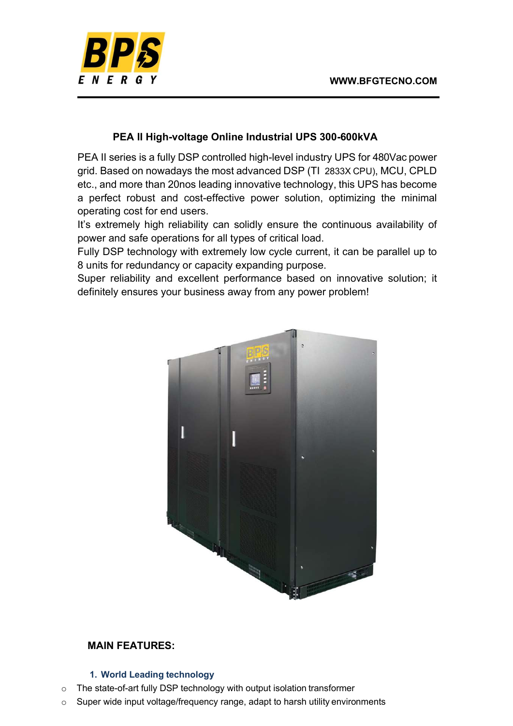

# PEA II High-voltage Online Industrial UPS 300-600kVA

PEA II series is a fully DSP controlled high-level industry UPS for 480Vac power grid. Based on nowadays the most advanced DSP (TI 2833X CPU), MCU, CPLD etc., and more than 20nos leading innovative technology, this UPS has become a perfect robust and cost-effective power solution, optimizing the minimal operating cost for end users.

It's extremely high reliability can solidly ensure the continuous availability of power and safe operations for all types of critical load.

Fully DSP technology with extremely low cycle current, it can be parallel up to 8 units for redundancy or capacity expanding purpose.

Super reliability and excellent performance based on innovative solution; it definitely ensures your business away from any power problem!



# MAIN FEATURES:

## 1. World Leading technology

- o The state-of-art fully DSP technology with output isolation transformer
- o Super wide input voltage/frequency range, adapt to harsh utility environments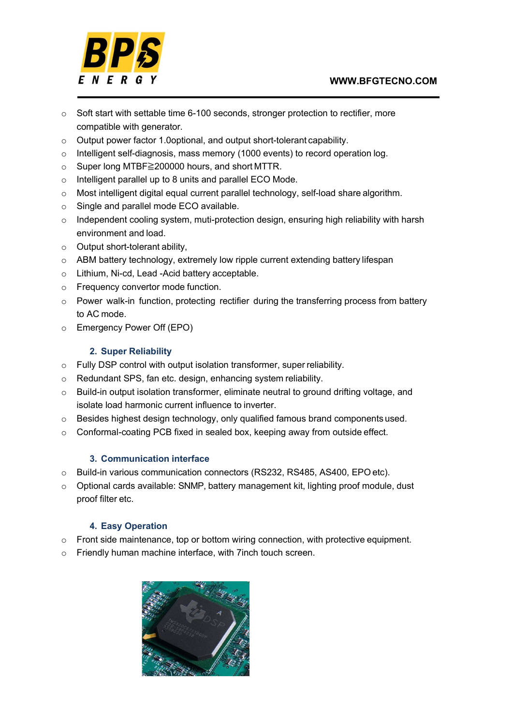

- $\circ$  Soft start with settable time 6-100 seconds, stronger protection to rectifier, more compatible with generator.
- o Output power factor 1.0optional, and output short-tolerant capability.
- o Intelligent self-diagnosis, mass memory (1000 events) to record operation log.
- o Super long MTBF≧200000 hours, and short MTTR.
- o Intelligent parallel up to 8 units and parallel ECO Mode.
- o Most intelligent digital equal current parallel technology, self-load share algorithm.
- o Single and parallel mode ECO available.
- o Independent cooling system, muti-protection design, ensuring high reliability with harsh environment and load.
- $\circ$  Output short-tolerant ability.
- $\circ$  ABM battery technology, extremely low ripple current extending battery lifespan
- o Lithium, Ni-cd, Lead -Acid battery acceptable.
- o Frequency convertor mode function.
- $\circ$  Power walk-in function, protecting rectifier during the transferring process from battery to AC mode.
- o Emergency Power Off (EPO)

#### 2. Super Reliability

- o Fully DSP control with output isolation transformer, super reliability.
- o Redundant SPS, fan etc. design, enhancing system reliability.
- o Build-in output isolation transformer, eliminate neutral to ground drifting voltage, and isolate load harmonic current influence to inverter.
- $\circ$  Besides highest design technology, only qualified famous brand components used.
- o Conformal-coating PCB fixed in sealed box, keeping away from outside effect.

#### 3. Communication interface

- o Build-in various communication connectors (RS232, RS485, AS400, EPO etc).
- o Optional cards available: SNMP, battery management kit, lighting proof module, dust proof filter etc.

## 4. Easy Operation

- $\circ$  Front side maintenance, top or bottom wiring connection, with protective equipment.
- o Friendly human machine interface, with 7inch touch screen.

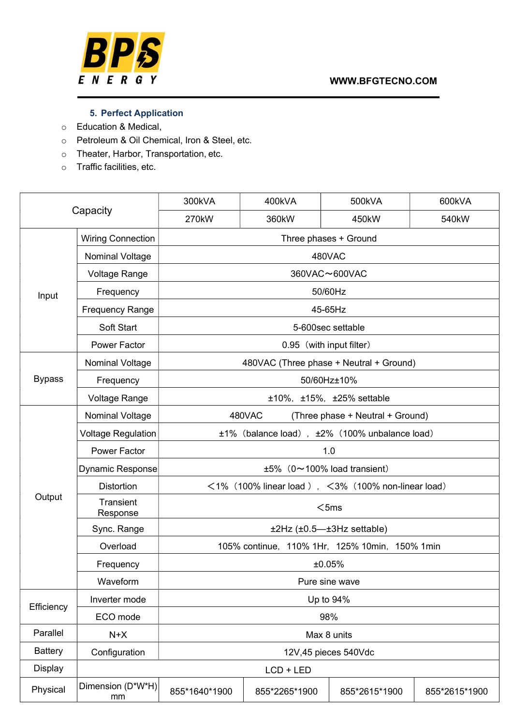

# 5. Perfect Application

- o Education & Medical,
- o Petroleum & Oil Chemical, Iron & Steel, etc.
- o Theater, Harbor, Transportation, etc.
- o Traffic facilities, etc.

| Capacity       |                           | 300kVA                                                         | 400kVA        | 500kVA        | 600kVA        |  |  |
|----------------|---------------------------|----------------------------------------------------------------|---------------|---------------|---------------|--|--|
|                |                           | 270kW                                                          | 360kW         | 450kW         | 540kW         |  |  |
| Input          | <b>Wiring Connection</b>  | Three phases + Ground                                          |               |               |               |  |  |
|                | <b>Nominal Voltage</b>    | 480VAC                                                         |               |               |               |  |  |
|                | Voltage Range             | 360VAC~600VAC                                                  |               |               |               |  |  |
|                | Frequency                 | 50/60Hz                                                        |               |               |               |  |  |
|                | <b>Frequency Range</b>    | 45-65Hz                                                        |               |               |               |  |  |
|                | Soft Start                | 5-600sec settable                                              |               |               |               |  |  |
|                | <b>Power Factor</b>       | 0.95 (with input filter)                                       |               |               |               |  |  |
| <b>Bypass</b>  | Nominal Voltage           | 480VAC (Three phase + Neutral + Ground)                        |               |               |               |  |  |
|                | Frequency                 | 50/60Hz±10%                                                    |               |               |               |  |  |
|                | <b>Voltage Range</b>      | ±10%, ±15%, ±25% settable                                      |               |               |               |  |  |
| Output         | Nominal Voltage           | 480VAC<br>(Three phase + Neutral + Ground)                     |               |               |               |  |  |
|                | <b>Voltage Regulation</b> | ±1% (balance load), ±2% (100% unbalance load)                  |               |               |               |  |  |
|                | Power Factor              | 1.0                                                            |               |               |               |  |  |
|                | Dynamic Response          | $±5\%$ (0~100% load transient)                                 |               |               |               |  |  |
|                | <b>Distortion</b>         | $\leq$ 1% (100% linear load), $\leq$ 3% (100% non-linear load) |               |               |               |  |  |
|                | Transient<br>Response     | $<$ 5ms                                                        |               |               |               |  |  |
|                | Sync. Range               | $±2Hz$ ( $±0.5$ — $±3Hz$ settable)                             |               |               |               |  |  |
|                | Overload                  | 105% continue, 110% 1Hr, 125% 10min, 150% 1min                 |               |               |               |  |  |
|                | Frequency                 | ±0.05%                                                         |               |               |               |  |  |
|                | Waveform                  | Pure sine wave                                                 |               |               |               |  |  |
| Efficiency     | Inverter mode             | Up to 94%                                                      |               |               |               |  |  |
|                | ECO mode                  | 98%                                                            |               |               |               |  |  |
| Parallel       | $N+X$                     | Max 8 units                                                    |               |               |               |  |  |
| <b>Battery</b> | Configuration             | 12V,45 pieces 540Vdc                                           |               |               |               |  |  |
| <b>Display</b> |                           | $LCD + LED$                                                    |               |               |               |  |  |
| Physical       | Dimension (D*W*H)<br>mm   | 855*1640*1900                                                  | 855*2265*1900 | 855*2615*1900 | 855*2615*1900 |  |  |